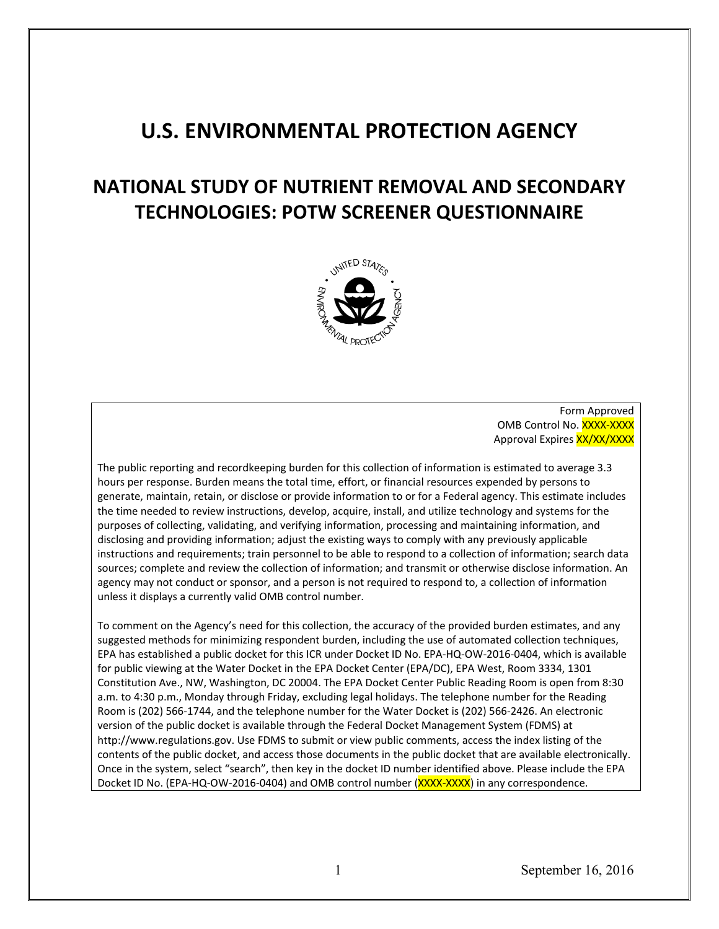# **U.S. ENVIRONMENTAL PROTECTION AGENCY**

# **TECHNOLOGIES: POTW SCREENER QUESTIONNAIRE NATIONAL STUDY OF NUTRIENT REMOVAL AND SECONDARY**



Form Approved OMB Control No. XXXX-XXXX Approval Expires XX/XX/XXXX

 The public reporting and recordkeeping burden for this collection of information is estimated to average 3.3 hours per response. Burden means the total time, effort, or financial resources expended by persons to generate, maintain, retain, or disclose or provide information to or for a Federal agency. This estimate includes the time needed to review instructions, develop, acquire, install, and utilize technology and systems for the purposes of collecting, validating, and verifying information, processing and maintaining information, and disclosing and providing information; adjust the existing ways to comply with any previously applicable instructions and requirements; train personnel to be able to respond to a collection of information; search data sources; complete and review the collection of information; and transmit or otherwise disclose information. An agency may not conduct or sponsor, and a person is not required to respond to, a collection of information unless it displays a currently valid OMB control number.

unless it displays a currently valid OMB control number.<br>To comment on the Agency's need for this collection, the accuracy of the provided burden estimates, and any suggested methods for minimizing respondent burden, including the use of automated collection techniques, EPA has established a public docket for this ICR under Docket ID No. EPA-HQ-OW-2016-0404, which is available for public viewing at the Water Docket in the EPA Docket Center (EPA/DC), EPA West, Room 3334, 1301 Constitution Ave., NW, Washington, DC 20004. The EPA Docket Center Public Reading Room is open from 8:30 a.m. to 4:30 p.m., Monday through Friday, excluding legal holidays. The telephone number for the Reading Room is (202) 566-1744, and the telephone number for the Water Docket is (202) 566-2426. An electronic version of the public docket is available through the Federal Docket Management System (FDMS) at http://www.regulations.gov. Use FDMS to submit or view public comments, access the index listing of the contents of the public docket, and access those documents in the public docket that are available electronically. Once in the system, select "search", then key in the docket ID number identified above. Please include the EPA Docket ID No. (EPA-HQ-OW-2016-0404) and OMB control number (XXXX-XXXX) in any correspondence.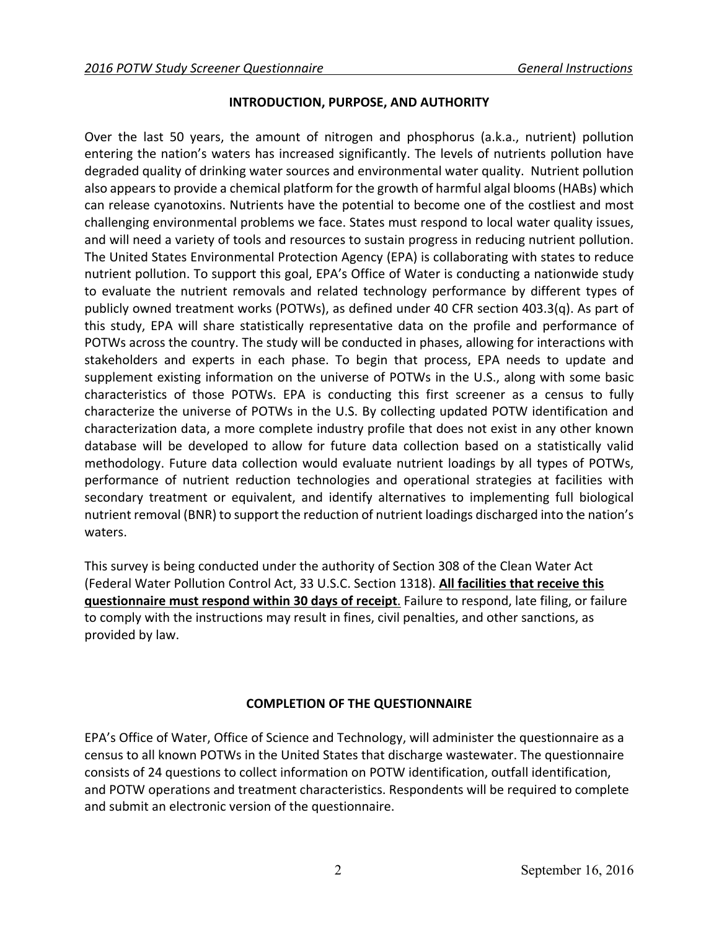### **INTRODUCTION, PURPOSE, AND AUTHORITY**

 entering the nation's waters has increased significantly. The levels of nutrients pollution have publicly owned treatment works (POTWs), as defined under 40 CFR section 403.3(q). As part of waters. Over the last 50 years, the amount of nitrogen and phosphorus (a.k.a., nutrient) pollution degraded quality of drinking water sources and environmental water quality. Nutrient pollution also appears to provide a chemical platform for the growth of harmful algal blooms (HABs) which can release cyanotoxins. Nutrients have the potential to become one of the costliest and most challenging environmental problems we face. States must respond to local water quality issues, and will need a variety of tools and resources to sustain progress in reducing nutrient pollution. The United States Environmental Protection Agency (EPA) is collaborating with states to reduce nutrient pollution. To support this goal, EPA's Office of Water is conducting a nationwide study to evaluate the nutrient removals and related technology performance by different types of this study, EPA will share statistically representative data on the profile and performance of POTWs across the country. The study will be conducted in phases, allowing for interactions with stakeholders and experts in each phase. To begin that process, EPA needs to update and supplement existing information on the universe of POTWs in the U.S., along with some basic characteristics of those POTWs. EPA is conducting this first screener as a census to fully characterize the universe of POTWs in the U.S. By collecting updated POTW identification and characterization data, a more complete industry profile that does not exist in any other known database will be developed to allow for future data collection based on a statistically valid methodology. Future data collection would evaluate nutrient loadings by all types of POTWs, performance of nutrient reduction technologies and operational strategies at facilities with secondary treatment or equivalent, and identify alternatives to implementing full biological nutrient removal (BNR) to support the reduction of nutrient loadings discharged into the nation's

This survey is being conducted under the authority of Section 308 of the Clean Water Act (Federal Water Pollution Control Act, 33 U.S.C. Section 1318). **All facilities that receive this questionnaire must respond within 30 days of receipt**. Failure to respond, late filing, or failure to comply with the instructions may result in fines, civil penalties, and other sanctions, as provided by law.

# **COMPLETION OF THE QUESTIONNAIRE**

 consists of 24 questions to collect information on POTW identification, outfall identification, and POTW operations and treatment characteristics. Respondents will be required to complete EPA's Office of Water, Office of Science and Technology, will administer the questionnaire as a census to all known POTWs in the United States that discharge wastewater. The questionnaire and submit an electronic version of the questionnaire.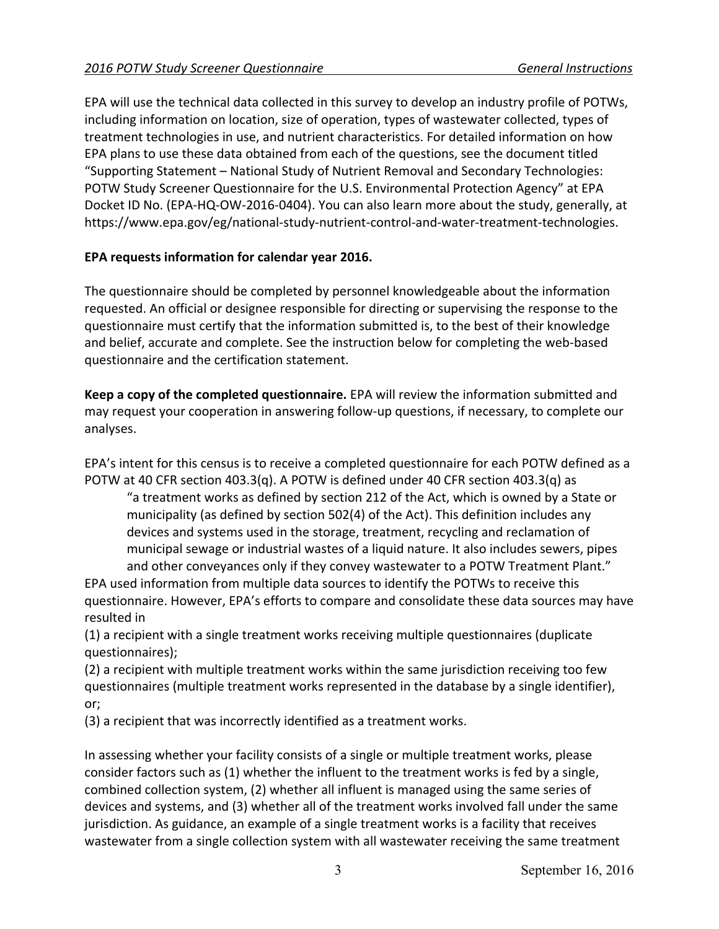"Supporting Statement – National Study of Nutrient Removal and Secondary Technologies: EPA will use the technical data collected in this survey to develop an industry profile of POTWs, including information on location, size of operation, types of wastewater collected, types of treatment technologies in use, and nutrient characteristics. For detailed information on how EPA plans to use these data obtained from each of the questions, see the document titled POTW Study Screener Questionnaire for the U.S. Environmental Protection Agency" at EPA Docket ID No. (EPA-HQ-OW-2016-0404). You can also learn more about the study, generally, at https://www.epa.gov/eg/national-study-nutrient-control-and-water-treatment-technologies.

# **EPA requests information for calendar year 2016.**

The questionnaire should be completed by personnel knowledgeable about the information requested. An official or designee responsible for directing or supervising the response to the questionnaire must certify that the information submitted is, to the best of their knowledge and belief, accurate and complete. See the instruction below for completing the web-based questionnaire and the certification statement.

**Keep a copy of the completed questionnaire.** EPA will review the information submitted and may request your cooperation in answering follow-up questions, if necessary, to complete our analyses.

 POTW at 40 CFR section 403.3(q). A POTW is defined under 40 CFR section 403.3(q) as EPA's intent for this census is to receive a completed questionnaire for each POTW defined as a

"a treatment works as defined by section 212 of the Act, which is owned by a State or municipality (as defined by section 502(4) of the Act). This definition includes any devices and systems used in the storage, treatment, recycling and reclamation of municipal sewage or industrial wastes of a liquid nature. It also includes sewers, pipes and other conveyances only if they convey wastewater to a POTW Treatment Plant."

EPA used information from multiple data sources to identify the POTWs to receive this questionnaire. However, EPA's efforts to compare and consolidate these data sources may have resulted in

(1) a recipient with a single treatment works receiving multiple questionnaires (duplicate questionnaires);

(2) a recipient with multiple treatment works within the same jurisdiction receiving too few questionnaires (multiple treatment works represented in the database by a single identifier), or;

(3) a recipient that was incorrectly identified as a treatment works.

 consider factors such as (1) whether the influent to the treatment works is fed by a single, In assessing whether your facility consists of a single or multiple treatment works, please combined collection system, (2) whether all influent is managed using the same series of devices and systems, and (3) whether all of the treatment works involved fall under the same jurisdiction. As guidance, an example of a single treatment works is a facility that receives wastewater from a single collection system with all wastewater receiving the same treatment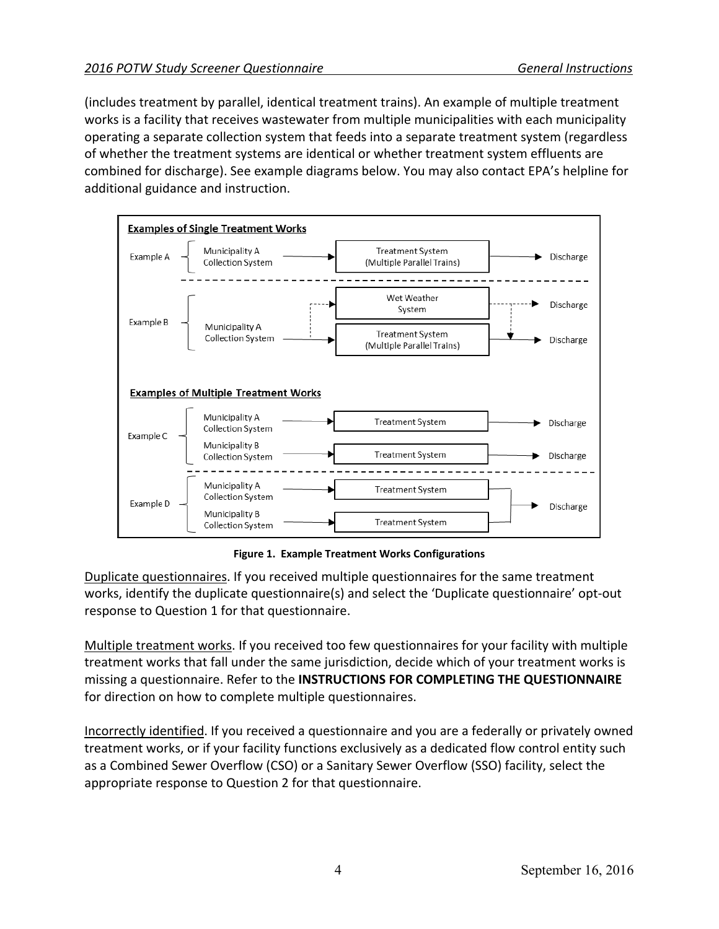combined for discharge). See example diagrams below. You may also contact EPA's helpline for (includes treatment by parallel, identical treatment trains). An example of multiple treatment works is a facility that receives wastewater from multiple municipalities with each municipality operating a separate collection system that feeds into a separate treatment system (regardless of whether the treatment systems are identical or whether treatment system effluents are additional guidance and instruction.



 **Figure 1. Example Treatment Works Configurations** 

Duplicate questionnaires. If you received multiple questionnaires for the same treatment works, identify the duplicate questionnaire(s) and select the 'Duplicate questionnaire' opt-out response to Question 1 for that questionnaire.

Multiple treatment works. If you received too few questionnaires for your facility with multiple treatment works that fall under the same jurisdiction, decide which of your treatment works is missing a questionnaire. Refer to the **INSTRUCTIONS FOR COMPLETING THE QUESTIONNAIRE**  for direction on how to complete multiple questionnaires.

 appropriate response to Question 2 for that questionnaire. Incorrectly identified. If you received a questionnaire and you are a federally or privately owned treatment works, or if your facility functions exclusively as a dedicated flow control entity such as a Combined Sewer Overflow (CSO) or a Sanitary Sewer Overflow (SSO) facility, select the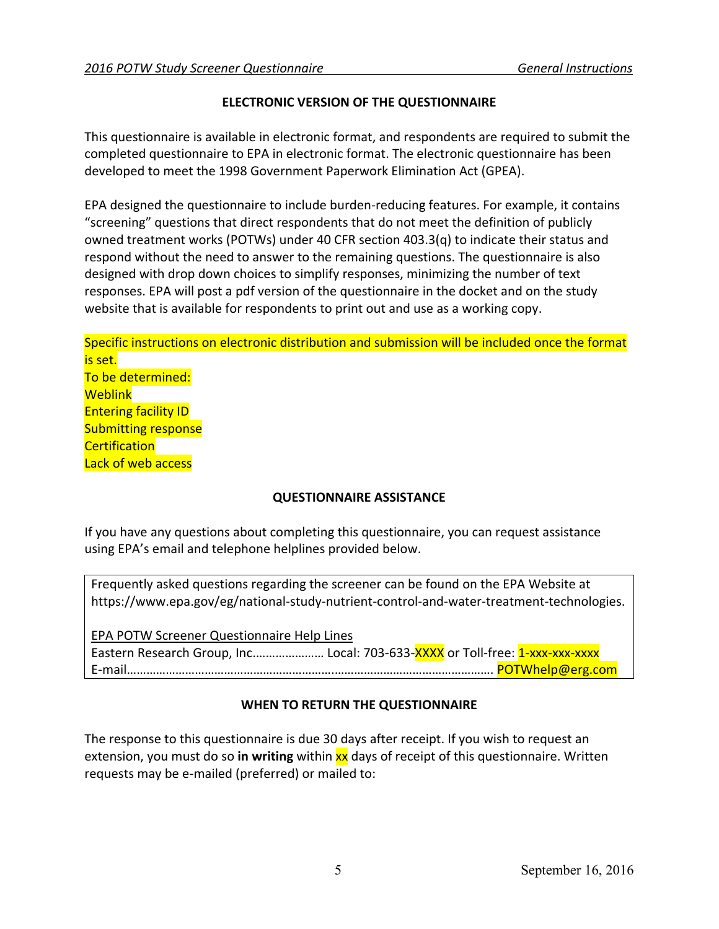### **ELECTRONIC VERSION OF THE QUESTIONNAIRE**

 completed questionnaire to EPA in electronic format. The electronic questionnaire has been This questionnaire is available in electronic format, and respondents are required to submit the developed to meet the 1998 Government Paperwork Elimination Act (GPEA).

EPA designed the questionnaire to include burden-reducing features. For example, it contains "screening" questions that direct respondents that do not meet the definition of publicly owned treatment works (POTWs) under 40 CFR section 403.3(q) to indicate their status and respond without the need to answer to the remaining questions. The questionnaire is also designed with drop down choices to simplify responses, minimizing the number of text responses. EPA will post a pdf version of the questionnaire in the docket and on the study website that is available for respondents to print out and use as a working copy.

Specific instructions on electronic distribution and submission will be included once the format is set. To be determined: **Weblink** Entering facility ID Submitting response **Certification** Lack of web access

### **QUESTIONNAIRE ASSISTANCE**

If you have any questions about completing this questionnaire, you can request assistance using EPA's email and telephone helplines provided below.

Frequently asked questions regarding the screener can be found on the EPA Website at https://www.epa.gov/eg/national-study-nutrient-control-and-water-treatment-technologies.

 EPA POTW Screener Questionnaire Help Lines Eastern Research Group, Inc...................... Local: 703-633-XXXX or Toll-free: 1-xxx-xxx-xxxx E-mail……………………………………………………….…………………………………………. POTWhelp@erg.com

### **WHEN TO RETURN THE QUESTIONNAIRE**

extension, you must do so **in writing** within <mark>xx</mark> days of receipt of this questionnaire. Written The response to this questionnaire is due 30 days after receipt. If you wish to request an requests may be e-mailed (preferred) or mailed to: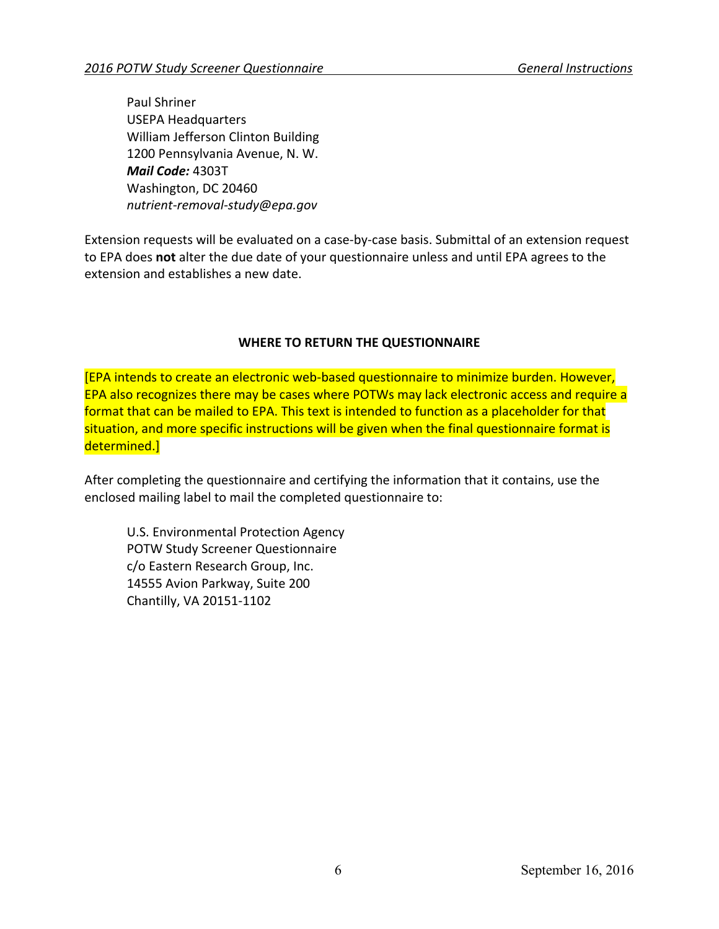USEPA Headquarters William Jefferson Clinton Building 1200 Pennsylvania Avenue, N. W. *Mail Code:* 4303T Paul Shriner Washington, DC 20460 *nutrient-removal-study@epa.gov* 

 to EPA does **not** alter the due date of your questionnaire unless and until EPA agrees to the Extension requests will be evaluated on a case-by-case basis. Submittal of an extension request extension and establishes a new date.

### **WHERE TO RETURN THE QUESTIONNAIRE**

[EPA intends to create an electronic web-based questionnaire to minimize burden. However, EPA also recognizes there may be cases where POTWs may lack electronic access and require a format that can be mailed to EPA. This text is intended to function as a placeholder for that situation, and more specific instructions will be given when the final questionnaire format is determined.]

After completing the questionnaire and certifying the information that it contains, use the enclosed mailing label to mail the completed questionnaire to:

U.S. Environmental Protection Agency POTW Study Screener Questionnaire c/o Eastern Research Group, Inc. 14555 Avion Parkway, Suite 200 Chantilly, VA 20151-1102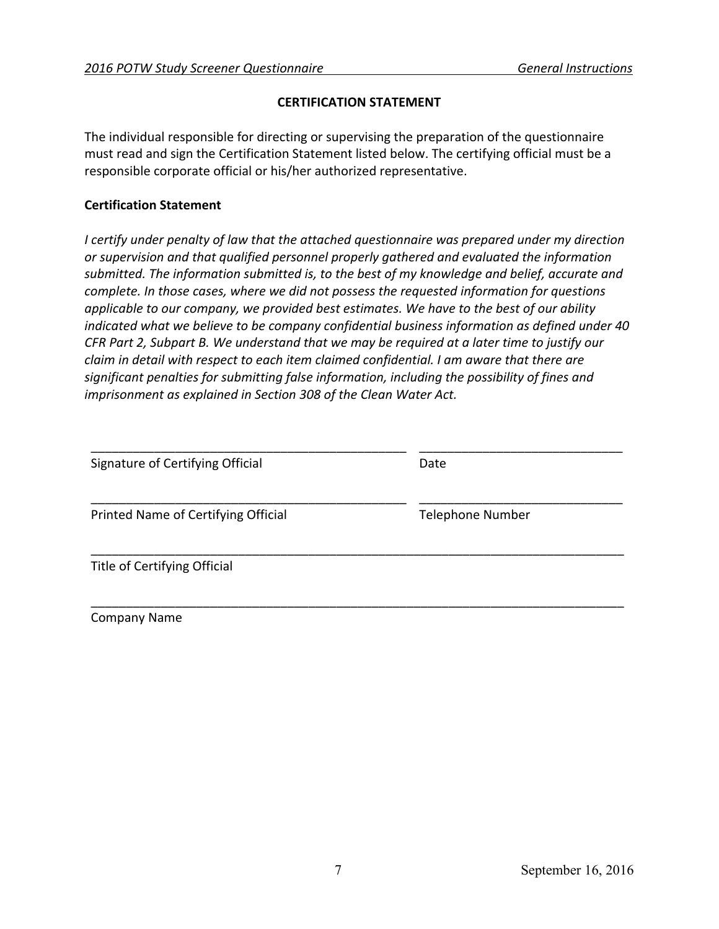### **CERTIFICATION STATEMENT**

The individual responsible for directing or supervising the preparation of the questionnaire must read and sign the Certification Statement listed below. The certifying official must be a responsible corporate official or his/her authorized representative.

### **Certification Statement**

*I certify under penalty of law that the attached questionnaire was prepared under my direction or supervision and that qualified personnel properly gathered and evaluated the information submitted. The information submitted is, to the best of my knowledge and belief, accurate and complete. In those cases, where we did not possess the requested information for questions applicable to our company, we provided best estimates. We have to the best of our ability indicated what we believe to be company confidential business information as defined under 40 CFR Part 2, Subpart B. We understand that we may be required at a later time to justify our claim in detail with respect to each item claimed confidential. I am aware that there are significant penalties for submitting false information, including the possibility of fines and imprisonment as explained in Section 308 of the Clean Water Act.* 

| Signature of Certifying Official    | Date                    |
|-------------------------------------|-------------------------|
| Printed Name of Certifying Official | <b>Telephone Number</b> |
| Title of Certifying Official        |                         |

Company Name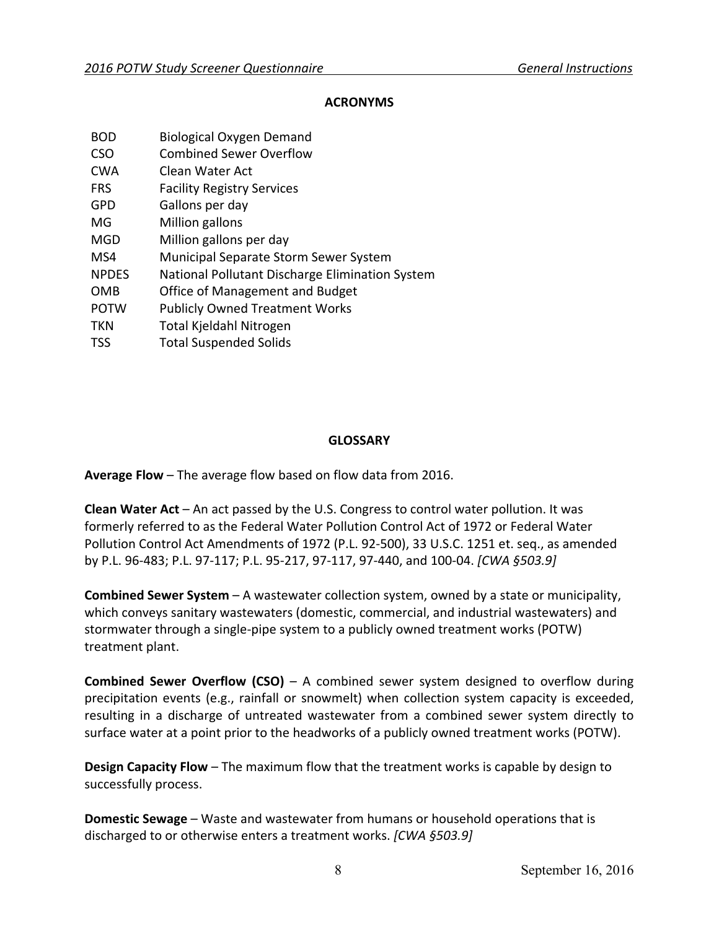### **ACRONYMS**

- BOD Biological Oxygen Demand
- CSO Combined Sewer Overflow
- CWA Clean Water Act
- FRS Facility Registry Services
- GPD Gallons per day
- MG Million gallons
- MGD Million gallons per day
- MS4 Municipal Separate Storm Sewer System
- NPDES National Pollutant Discharge Elimination System
- OMB Office of Management and Budget
- POTW Publicly Owned Treatment Works
- TKN Total Kjeldahl Nitrogen
- TSS Total Suspended Solids

# **GLOSSARY**

**Average Flow** – The average flow based on flow data from 2016.

 **Clean Water Act** – An act passed by the U.S. Congress to control water pollution. It was formerly referred to as the Federal Water Pollution Control Act of 1972 or Federal Water Pollution Control Act Amendments of 1972 (P.L. 92-500), 33 U.S.C. 1251 et. seq., as amended by P.L. 96-483; P.L. 97-117; P.L. 95-217, 97-117, 97-440, and 100-04. *[CWA §503.9]* 

 **Combined Sewer System** – A wastewater collection system, owned by a state or municipality, which conveys sanitary wastewaters (domestic, commercial, and industrial wastewaters) and stormwater through a single-pipe system to a publicly owned treatment works (POTW) treatment plant.

 **Combined Sewer Overflow (CSO)** – A combined sewer system designed to overflow during surface water at a point prior to the headworks of a publicly owned treatment works (POTW). precipitation events (e.g., rainfall or snowmelt) when collection system capacity is exceeded, resulting in a discharge of untreated wastewater from a combined sewer system directly to

 **Design Capacity Flow** – The maximum flow that the treatment works is capable by design to successfully process.

 **Domestic Sewage** – Waste and wastewater from humans or household operations that is discharged to or otherwise enters a treatment works. *[CWA §503.9]*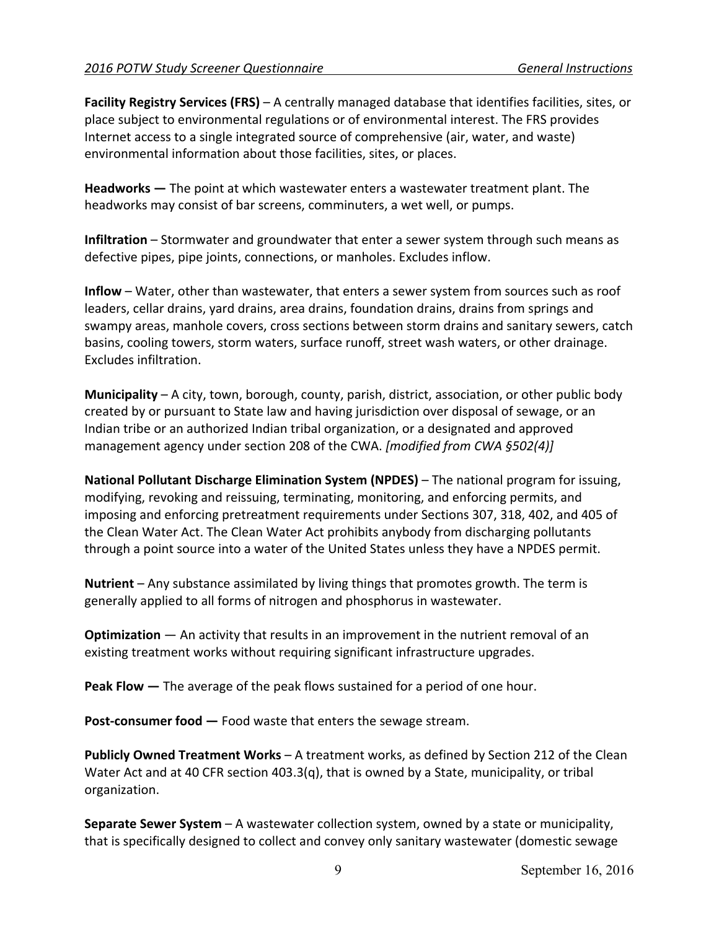**Facility Registry Services (FRS)** – A centrally managed database that identifies facilities, sites, or place subject to environmental regulations or of environmental interest. The FRS provides Internet access to a single integrated source of comprehensive (air, water, and waste) environmental information about those facilities, sites, or places.

 **Headworks —** The point at which wastewater enters a wastewater treatment plant. The headworks may consist of bar screens, comminuters, a wet well, or pumps.

**Infiltration** – Stormwater and groundwater that enter a sewer system through such means as defective pipes, pipe joints, connections, or manholes. Excludes inflow.

**Inflow** – Water, other than wastewater, that enters a sewer system from sources such as roof leaders, cellar drains, yard drains, area drains, foundation drains, drains from springs and swampy areas, manhole covers, cross sections between storm drains and sanitary sewers, catch basins, cooling towers, storm waters, surface runoff, street wash waters, or other drainage. Excludes infiltration.

**Municipality** – A city, town, borough, county, parish, district, association, or other public body created by or pursuant to State law and having jurisdiction over disposal of sewage, or an Indian tribe or an authorized Indian tribal organization, or a designated and approved management agency under section 208 of the CWA. *[modified from CWA §502(4)]* 

 **National Pollutant Discharge Elimination System (NPDES)** – The national program for issuing, modifying, revoking and reissuing, terminating, monitoring, and enforcing permits, and imposing and enforcing pretreatment requirements under Sections 307, 318, 402, and 405 of the Clean Water Act. The Clean Water Act prohibits anybody from discharging pollutants through a point source into a water of the United States unless they have a NPDES permit.

 generally applied to all forms of nitrogen and phosphorus in wastewater. **Nutrient** – Any substance assimilated by living things that promotes growth. The term is

**Optimization** — An activity that results in an improvement in the nutrient removal of an existing treatment works without requiring significant infrastructure upgrades.

 **Peak Flow —** The average of the peak flows sustained for a period of one hour.

 **Post-consumer food —** Food waste that enters the sewage stream.

 organization. **Publicly Owned Treatment Works** – A treatment works, as defined by Section 212 of the Clean Water Act and at 40 CFR section 403.3(q), that is owned by a State, municipality, or tribal

 **Separate Sewer System** – A wastewater collection system, owned by a state or municipality, that is specifically designed to collect and convey only sanitary wastewater (domestic sewage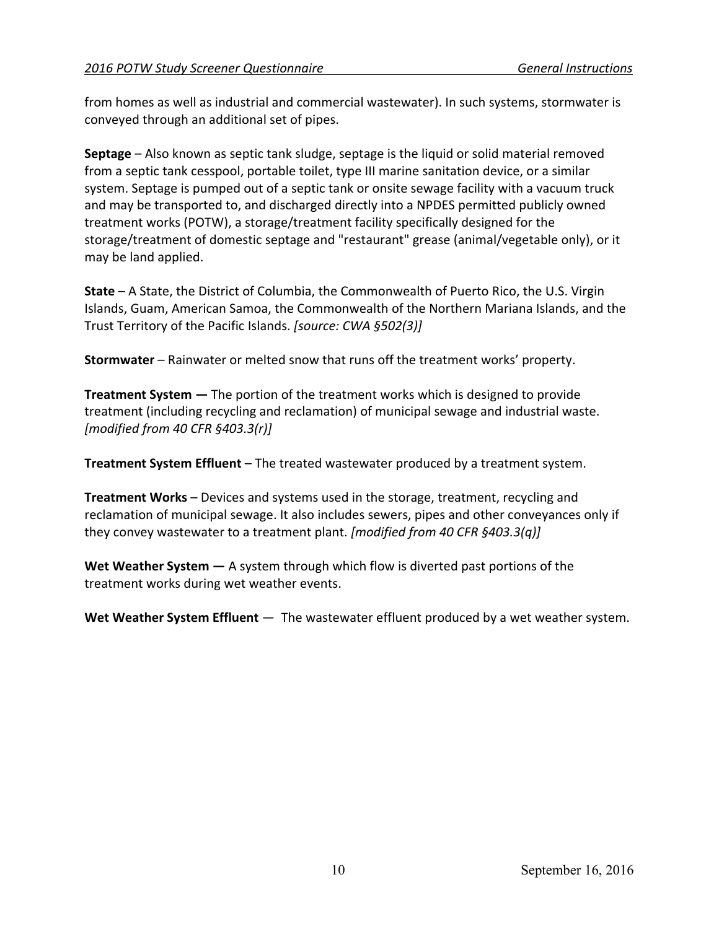from homes as well as industrial and commercial wastewater). In such systems, stormwater is conveyed through an additional set of pipes.

**Septage** – Also known as septic tank sludge, septage is the liquid or solid material removed from a septic tank cesspool, portable toilet, type III marine sanitation device, or a similar system. Septage is pumped out of a septic tank or onsite sewage facility with a vacuum truck and may be transported to, and discharged directly into a NPDES permitted publicly owned treatment works (POTW), a storage/treatment facility specifically designed for the storage/treatment of domestic septage and "restaurant" grease (animal/vegetable only), or it may be land applied.

**State** – A State, the District of Columbia, the Commonwealth of Puerto Rico, the U.S. Virgin Islands, Guam, American Samoa, the Commonwealth of the Northern Mariana Islands, and the Trust Territory of the Pacific Islands. *[source: CWA §502(3)]* 

**Stormwater** – Rainwater or melted snow that runs off the treatment works' property.

**Treatment System —** The portion of the treatment works which is designed to provide treatment (including recycling and reclamation) of municipal sewage and industrial waste. *[modified from 40 CFR §403.3(r)]* 

**Treatment System Effluent** – The treated wastewater produced by a treatment system.

 **Treatment Works** – Devices and systems used in the storage, treatment, recycling and reclamation of municipal sewage. It also includes sewers, pipes and other conveyances only if they convey wastewater to a treatment plant. *[modified from 40 CFR §403.3(q)]* 

 **Wet Weather System —** A system through which flow is diverted past portions of the treatment works during wet weather events.

**Wet Weather System Effluent** — The wastewater effluent produced by a wet weather system.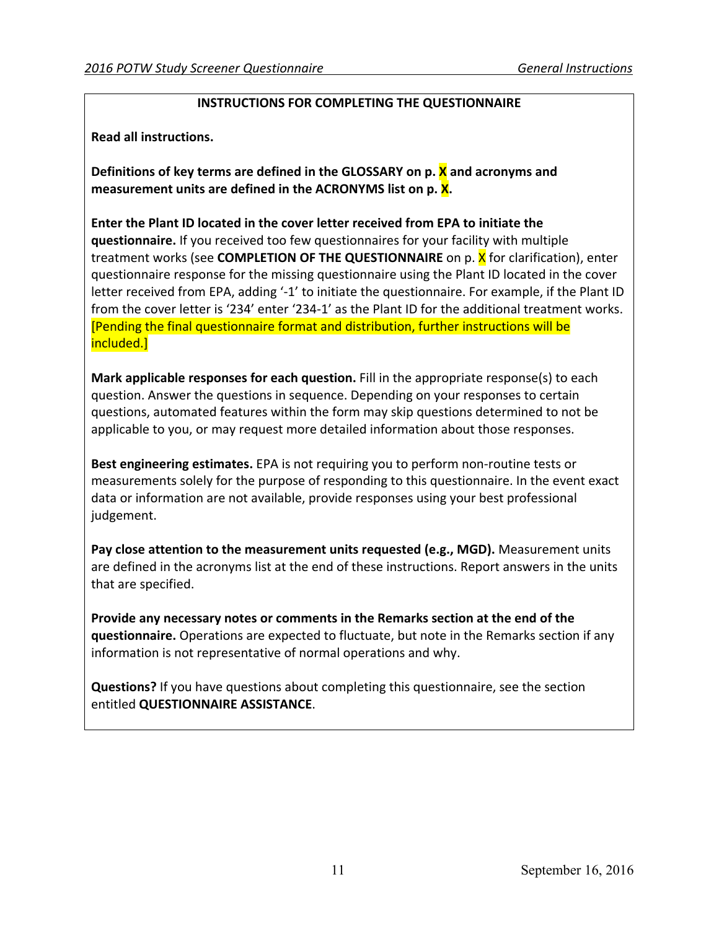### **INSTRUCTIONS FOR COMPLETING THE QUESTIONNAIRE**

**Read all instructions.** 

 **Definitions of key terms are defined in the GLOSSARY on p. X and acronyms and measurement units are defined in the ACRONYMS list on p. X.** 

treatment works (see **COMPLETION OF THE QUESTIONNAIRE** on p. <mark>X</mark> for clarification), enter from the cover letter is '234' enter '234-1' as the Plant ID for the additional treatment works. included.] **Enter the Plant ID located in the cover letter received from EPA to initiate the questionnaire.** If you received too few questionnaires for your facility with multiple questionnaire response for the missing questionnaire using the Plant ID located in the cover letter received from EPA, adding '-1' to initiate the questionnaire. For example, if the Plant ID [Pending the final questionnaire format and distribution, further instructions will be

**Mark applicable responses for each question.** Fill in the appropriate response(s) to each question. Answer the questions in sequence. Depending on your responses to certain questions, automated features within the form may skip questions determined to not be applicable to you, or may request more detailed information about those responses.

**Best engineering estimates.** EPA is not requiring you to perform non-routine tests or measurements solely for the purpose of responding to this questionnaire. In the event exact data or information are not available, provide responses using your best professional judgement.

Pay close attention to the measurement units requested (e.g., MGD). Measurement units are defined in the acronyms list at the end of these instructions. Report answers in the units that are specified.

 information is not representative of normal operations and why. **Provide any necessary notes or comments in the Remarks section at the end of the questionnaire.** Operations are expected to fluctuate, but note in the Remarks section if any

**Questions?** If you have questions about completing this questionnaire, see the section entitled **QUESTIONNAIRE ASSISTANCE**.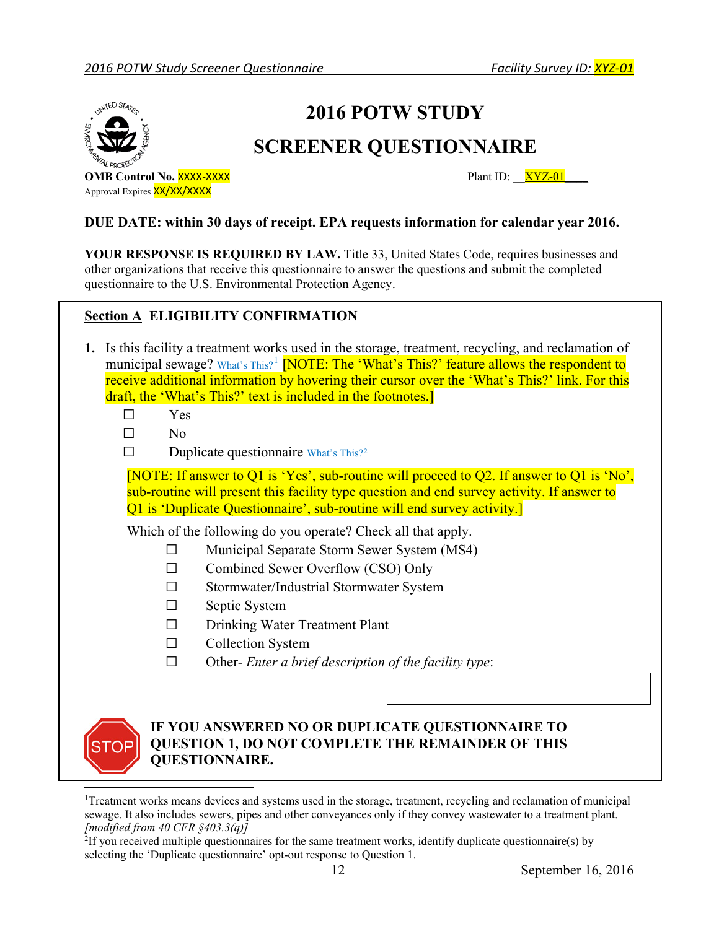

# **2016 POTW STUDY**

# **SCREENER QUESTIONNAIRE**

**OMB Control No. XXXX-XXXX** Approval Expires **XX/XX/XXXX** 

Plant ID:  $XYZ-01$ 

### **DUE DATE: within 30 days of receipt. EPA requests information for calendar year 2016.**

YOUR RESPONSE IS REQUIRED BY LAW. Title 33, United States Code, requires businesses and other organizations that receive this questionnaire to answer the questions and submit the completed questionnaire to the U.S. Environmental Protection Agency.

# **Section A ELIGIBILITY CONFIRMATION**

- **1.** Is this facility a treatment works used in the storage, treatment, recycling, and reclamation of municipal sewage? What's This?<sup>[1](#page-11-0)</sup> [NOTE: The 'What's This?' feature allows the respondent to receive additional information by hovering their cursor over the 'What's This?' link. For this draft, the 'What's This?' text is included in the footnotes.
	- Yes  $\Box$
	- ☐ No
	- $\Box$ Duplicate questionnaire What's This?<sup>2</sup>

[NOTE: If answer to Q1 is 'Yes', sub-routine will proceed to Q2. If answer to Q1 is 'No', sub-routine will present this facility type question and end survey activity. If answer to Q1 is 'Duplicate Questionnaire', sub-routine will end survey activity.]

Which of the following do you operate? Check all that apply.

- ☐ Municipal Separate Storm Sewer System (MS4)
- ☐ Combined Sewer Overflow (CSO) Only
- ☐ Stormwater/Industrial Stormwater System
- ☐ Septic System
- ☐ Drinking Water Treatment Plant
- ☐ Collection System
- ☐ Other- *Enter a brief description of the facility type*:



# **IF YOU ANSWERED NO OR DUPLICATE QUESTIONNAIRE TO QUESTION 1, DO NOT COMPLETE THE REMAINDER OF THIS QUESTIONNAIRE.**

<span id="page-11-0"></span>Ī sewage. It also includes sewers, pipes and other conveyances only if they convey wastewater to a treatment plant.  *[modified from 40 CFR §403.3(q)]* <sup>1</sup>Treatment works means devices and systems used in the storage, treatment, recycling and reclamation of municipal

<span id="page-11-1"></span><sup>&</sup>lt;sup>2</sup>If you received multiple questionnaires for the same treatment works, identify duplicate questionnaire(s) by selecting the 'Duplicate questionnaire' opt-out response to Question 1.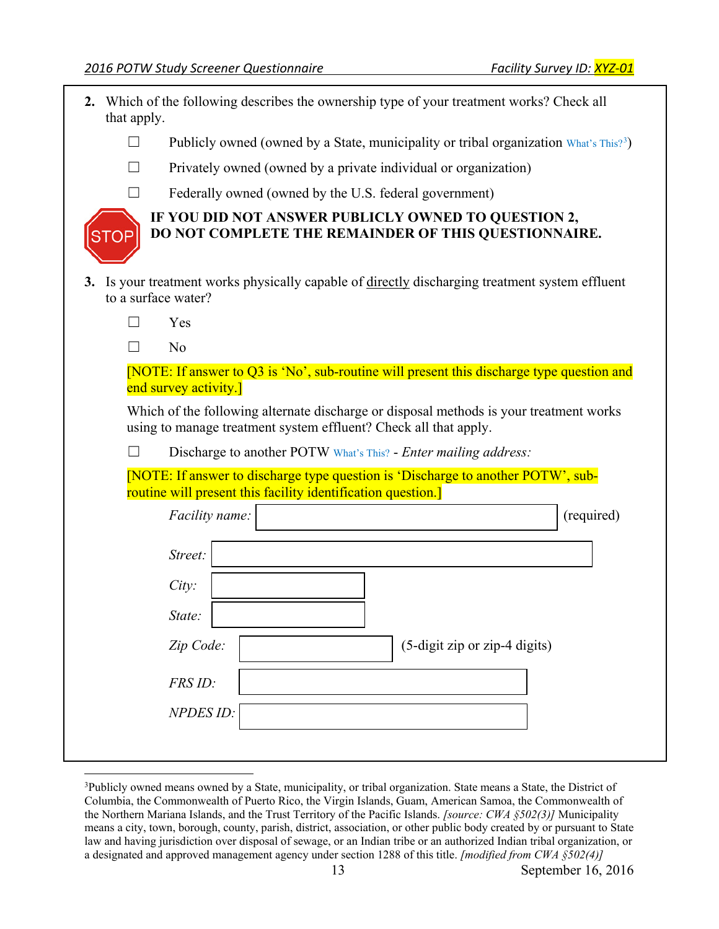<u>.</u>

<span id="page-12-0"></span>

| that apply.       | 2. Which of the following describes the ownership type of your treatment works? Check all                                                                  |
|-------------------|------------------------------------------------------------------------------------------------------------------------------------------------------------|
| $\Box$            | Publicly owned (owned by a State, municipality or tribal organization What's This? <sup>3</sup> )                                                          |
| $\perp$           | Privately owned (owned by a private individual or organization)                                                                                            |
|                   | Federally owned (owned by the U.S. federal government)                                                                                                     |
|                   | IF YOU DID NOT ANSWER PUBLICLY OWNED TO QUESTION 2,<br>DO NOT COMPLETE THE REMAINDER OF THIS QUESTIONNAIRE.                                                |
|                   | 3. Is your treatment works physically capable of directly discharging treatment system effluent<br>to a surface water?                                     |
| $\vert \ \ \vert$ | Yes                                                                                                                                                        |
|                   | No                                                                                                                                                         |
|                   | [NOTE: If answer to Q3 is 'No', sub-routine will present this discharge type question and<br>end survey activity.]                                         |
|                   | Which of the following alternate discharge or disposal methods is your treatment works<br>using to manage treatment system effluent? Check all that apply. |
|                   | Discharge to another POTW What's This? - Enter mailing address:                                                                                            |
|                   | [NOTE: If answer to discharge type question is 'Discharge to another POTW', sub-<br>routine will present this facility identification question.]           |
|                   | (required)<br>Facility name:                                                                                                                               |
|                   | Street:                                                                                                                                                    |
|                   | City:                                                                                                                                                      |
|                   | State:                                                                                                                                                     |
|                   | Zip Code:<br>(5-digit zip or zip-4 digits)                                                                                                                 |
|                   | FRS ID:                                                                                                                                                    |
|                   | NPDES <sub>ID:</sub>                                                                                                                                       |
|                   |                                                                                                                                                            |

<span id="page-12-1"></span> Columbia, the Commonwealth of Puerto Rico, the Virgin Islands, Guam, American Samoa, the Commonwealth of the Northern Mariana Islands, and the Trust Territory of the Pacific Islands. *[source: CWA §502(3)]* Municipality means a city, town, borough, county, parish, district, association, or other public body created by or pursuant to State law and having jurisdiction over disposal of sewage, or an Indian tribe or an authorized Indian tribal organization, or a designated and approved management agency under section 1288 of this title. *[modified from CWA §502(4)]*  3 Publicly owned means owned by a State, municipality, or tribal organization. State means a State, the District of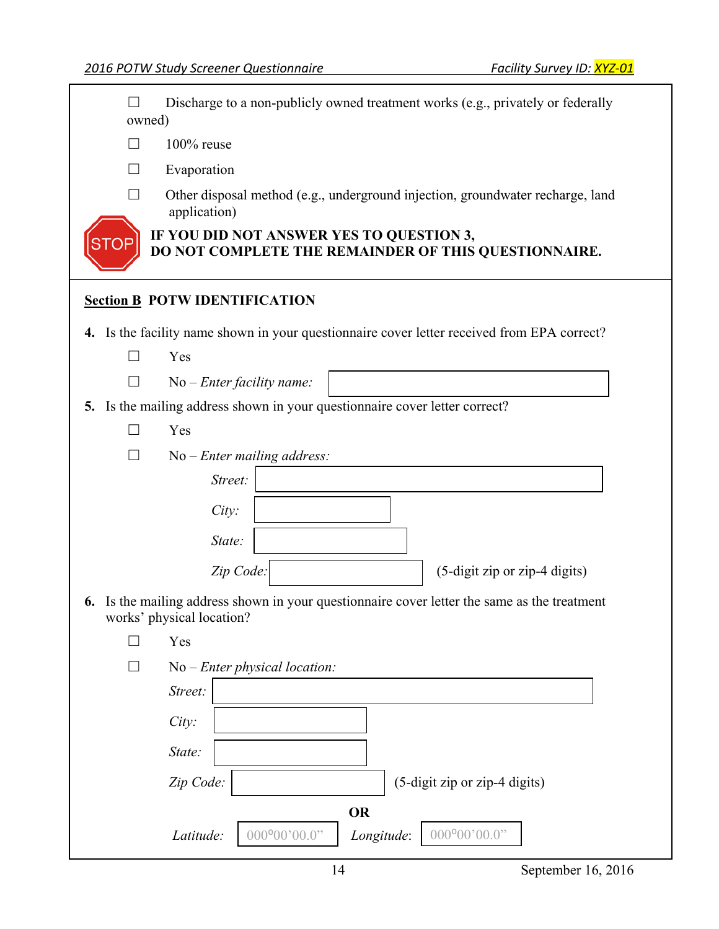$\Box$ Discharge to a non-publicly owned treatment works (e.g., privately or federally owned)

 $\Box$ 100% reuse

 $\Box$ **Evaporation** 

 $\Box$ Other disposal method (e.g., underground injection, groundwater recharge, land application)

 **IF YOU DID NOT ANSWER YES TO QUESTION 3, DO NOT COMPLETE THE REMAINDER OF THIS QUESTIONNAIRE.** 

# **Section B POTW IDENTIFICATION**

**4.** Is the facility name shown in your questionnaire cover letter received from EPA correct?

|    |                | Yes                                                                                                                    |
|----|----------------|------------------------------------------------------------------------------------------------------------------------|
|    |                | $No$ – Enter facility name:                                                                                            |
|    |                | 5. Is the mailing address shown in your questionnaire cover letter correct?                                            |
|    |                | Yes                                                                                                                    |
|    |                | No - Enter mailing address:                                                                                            |
|    |                | Street:                                                                                                                |
|    |                | City:                                                                                                                  |
|    |                | State:                                                                                                                 |
|    |                | Zip Code:<br>(5-digit zip or zip-4 digits)                                                                             |
| 6. |                | Is the mailing address shown in your questionnaire cover letter the same as the treatment<br>works' physical location? |
|    | $\blacksquare$ | Yes                                                                                                                    |
|    |                | $No$ – Enter physical location:                                                                                        |
|    |                | Street:                                                                                                                |
|    |                | City:                                                                                                                  |
|    |                | State:                                                                                                                 |
|    |                | Zip Code:<br>(5-digit zip or zip-4 digits)                                                                             |
|    |                | <b>OR</b>                                                                                                              |
|    |                | $000^{\circ}00'00.0"$<br>$000^{\circ}00'00.0"$<br>Latitude:<br>Longitude:                                              |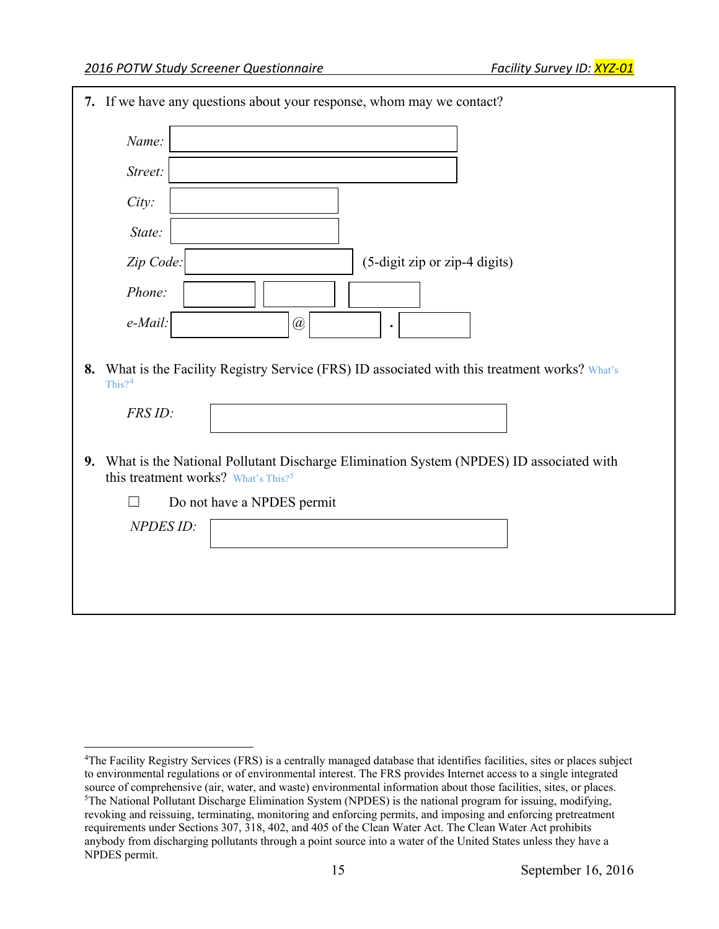-

| 7. If we have any questions about your response, whom may we contact?                                                                        |
|----------------------------------------------------------------------------------------------------------------------------------------------|
| Name:                                                                                                                                        |
| Street:                                                                                                                                      |
| City:                                                                                                                                        |
| State:                                                                                                                                       |
| Zip Code:<br>(5-digit zip or zip-4 digits)                                                                                                   |
| Phone:                                                                                                                                       |
| e-Mail:<br>@<br>٠                                                                                                                            |
| 8. What is the Facility Registry Service (FRS) ID associated with this treatment works? What's<br>This? $4$                                  |
| FRS ID:                                                                                                                                      |
| 9. What is the National Pollutant Discharge Elimination System (NPDES) ID associated with<br>this treatment works? What's This? <sup>5</sup> |
| Do not have a NPDES permit<br>$\blacksquare$                                                                                                 |
| NPDES <sub>ID:</sub>                                                                                                                         |
|                                                                                                                                              |
|                                                                                                                                              |
|                                                                                                                                              |

<span id="page-14-1"></span><span id="page-14-0"></span> to environmental regulations or of environmental interest. The FRS provides Internet access to a single integrated source of comprehensive (air, water, and waste) environmental information about those facilities, sites, or places. <sup>5</sup>The National Pollutant Discharge Elimination System (NPDES) is the national program for issuing, modifying, revoking and reissuing, terminating, monitoring and enforcing permits, and imposing and enforcing pretreatment requirements under Sections 307, 318, 402, and 405 of the Clean Water Act. The Clean Water Act prohibits anybody from discharging pollutants through a point source into a water of the United States unless they have a <sup>4</sup>The Facility Registry Services (FRS) is a centrally managed database that identifies facilities, sites or places subject NPDES permit.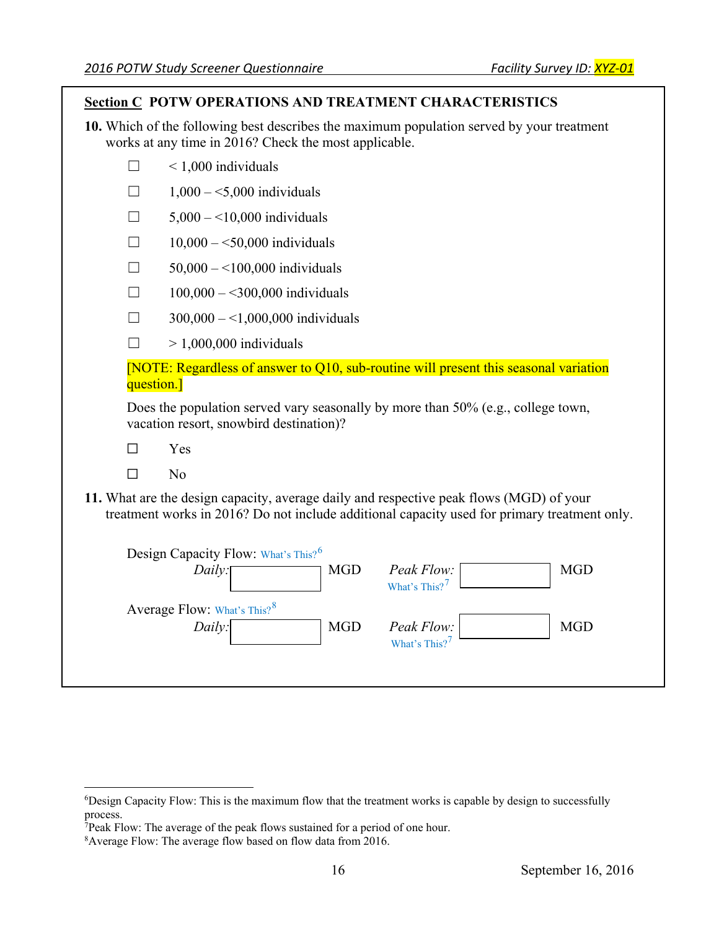| <b>Section C POTW OPERATIONS AND TREATMENT CHARACTERISTICS</b>                                                                                                                          |  |  |  |
|-----------------------------------------------------------------------------------------------------------------------------------------------------------------------------------------|--|--|--|
| 10. Which of the following best describes the maximum population served by your treatment<br>works at any time in 2016? Check the most applicable.                                      |  |  |  |
| $< 1,000$ individuals<br>ΓI                                                                                                                                                             |  |  |  |
| $1,000 - 5,000$ individuals                                                                                                                                                             |  |  |  |
| $5,000 - 10,000$ individuals<br>$\mathsf{L}$                                                                                                                                            |  |  |  |
| $10,000 - 50,000$ individuals<br>$\Box$                                                                                                                                                 |  |  |  |
| $50,000 - 100,000$ individuals<br>$\Box$                                                                                                                                                |  |  |  |
| $100,000 - 300,000$ individuals<br>$\mathsf{L}$                                                                                                                                         |  |  |  |
| $300,000 - 1,000,000$ individuals                                                                                                                                                       |  |  |  |
| $> 1,000,000$ individuals<br>$\mathsf{L}$                                                                                                                                               |  |  |  |
| [NOTE: Regardless of answer to Q10, sub-routine will present this seasonal variation<br>question.]                                                                                      |  |  |  |
| Does the population served vary seasonally by more than 50% (e.g., college town,<br>vacation resort, snowbird destination)?                                                             |  |  |  |
| $\Box$<br>Yes                                                                                                                                                                           |  |  |  |
| N <sub>o</sub><br>$\Box$                                                                                                                                                                |  |  |  |
| 11. What are the design capacity, average daily and respective peak flows (MGD) of your<br>treatment works in 2016? Do not include additional capacity used for primary treatment only. |  |  |  |
| Design Capacity Flow: What's This? <sup>6</sup><br>Peak Flow:<br><b>MGD</b><br><b>MGD</b><br>Daily:<br>What's This? <sup>7</sup>                                                        |  |  |  |
| Average Flow: What's This? <sup>8</sup><br>Peak Flow:<br><b>MGD</b><br><b>MGD</b><br>Daily:<br>What's This? <sup>7</sup>                                                                |  |  |  |
|                                                                                                                                                                                         |  |  |  |

<span id="page-15-0"></span>-

<span id="page-15-1"></span><sup>&</sup>lt;sup>6</sup>Design Capacity Flow: This is the maximum flow that the treatment works is capable by design to successfully process.

<span id="page-15-2"></span> 7 Peak Flow: The average of the peak flows sustained for a period of one hour.

<span id="page-15-3"></span><sup>&</sup>lt;sup>8</sup> Average Flow: The average flow based on flow data from 2016.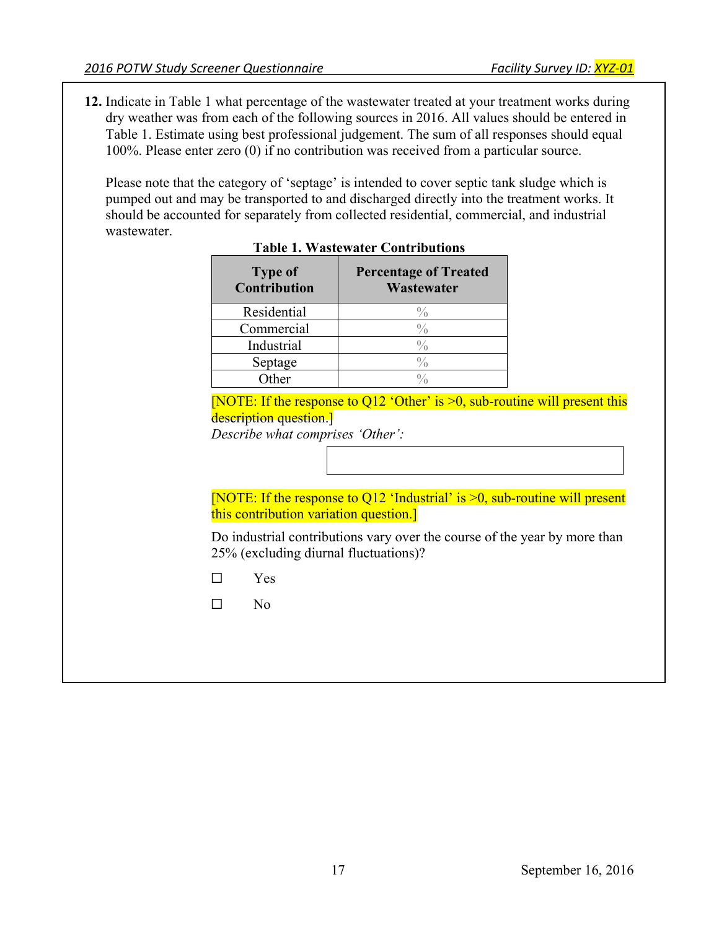**12.** Indicate in Table 1 what percentage of the wastewater treated at your treatment works during Table 1. Estimate using best professional judgement. The sum of all responses should equal 100%. Please enter zero (0) if no contribution was received from a particular source. dry weather was from each of the following sources in 2016. All values should be entered in

 Please note that the category of 'septage' is intended to cover septic tank sludge which is pumped out and may be transported to and discharged directly into the treatment works. It should be accounted for separately from collected residential, commercial, and industrial wastewater.

| <b>Type of</b><br>Contribution | <b>Percentage of Treated</b><br>Wastewater |
|--------------------------------|--------------------------------------------|
| Residential                    | $\%$                                       |
| Commercial                     |                                            |
| Industrial                     |                                            |
| Septage                        |                                            |
| ∩ther                          |                                            |

### **Table 1. Wastewater Contributions**

[NOTE: If the response to Q12 'Other' is  $>0$ , sub-routine will present this description question.

*Describe what comprises 'Other':* 

 [NOTE: If the response to Q12 'Industrial' is >0, sub-routine will present this contribution variation question.]

Do industrial contributions vary over the course of the year by more than 25% (excluding diurnal fluctuations)?

☐ Yes

 $\Box$  $No$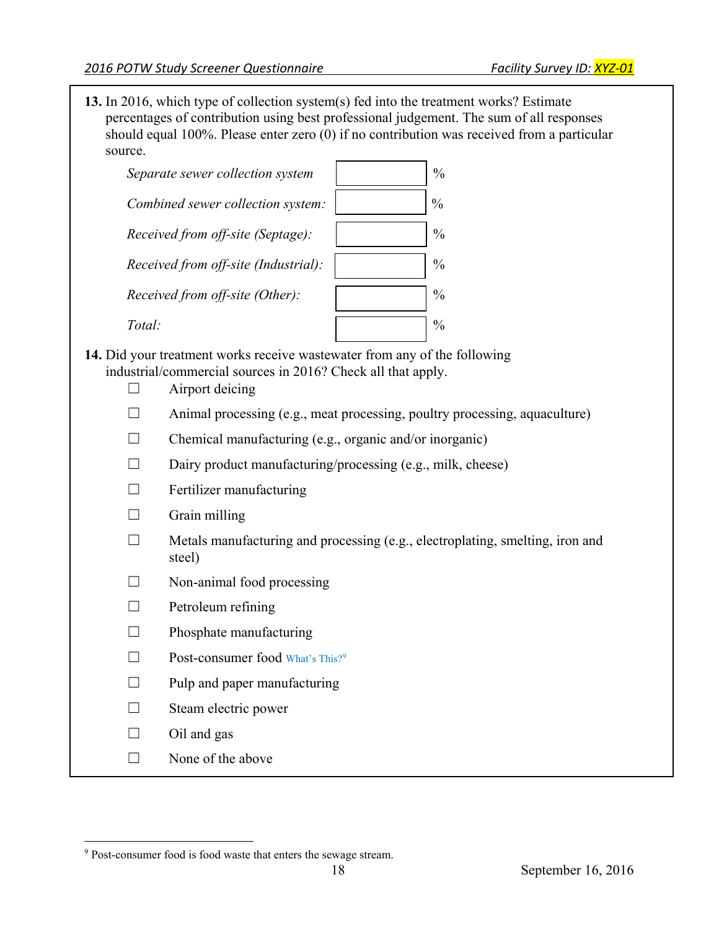should equal 100%. Please enter zero (0) if no contribution was received from a particular **13.** In 2016, which type of collection system(s) fed into the treatment works? Estimate percentages of contribution using best professional judgement. The sum of all responses source.

| Separate sewer collection system     | $\frac{0}{0}$ |
|--------------------------------------|---------------|
| Combined sewer collection system:    | $\frac{0}{0}$ |
| Received from off-site (Septage):    | $\frac{0}{0}$ |
| Received from off-site (Industrial): | $\frac{0}{0}$ |
| Received from off-site (Other):      | $\frac{0}{0}$ |
| Total:                               |               |

- **14.** Did your treatment works receive wastewater from any of the following industrial/commercial sources in 2016? Check all that apply.
	- $\Box$  Airport deicing
	- $\Box$  Animal processing (e.g., meat processing, poultry processing, aquaculture)
	- ☐ Chemical manufacturing (e.g., organic and/or inorganic)
	- $\Box$  Dairy product manufacturing/processing (e.g., milk, cheese)
	- $\Box$  Fertilizer manufacturing

| Grain milling |  |
|---------------|--|
|               |  |

- $\Box$  Metals manufacturing and processing (e.g., electroplating, smelting, iron and steel)
- $\Box$  Non-animal food processing
- □ Petroleum refining
- $\Box$  Phosphate manufacturing
- □ Post-consumer food What's This?<sup>[9](#page-17-0)</sup>
- $\Box$  Pulp and paper manufacturing
- $\Box$  Steam electric power
- $\Box$  Oil and gas
- $\Box$  None of the above

<span id="page-17-0"></span><sup>&</sup>lt;u>.</u> <sup>9</sup> Post-consumer food is food waste that enters the sewage stream.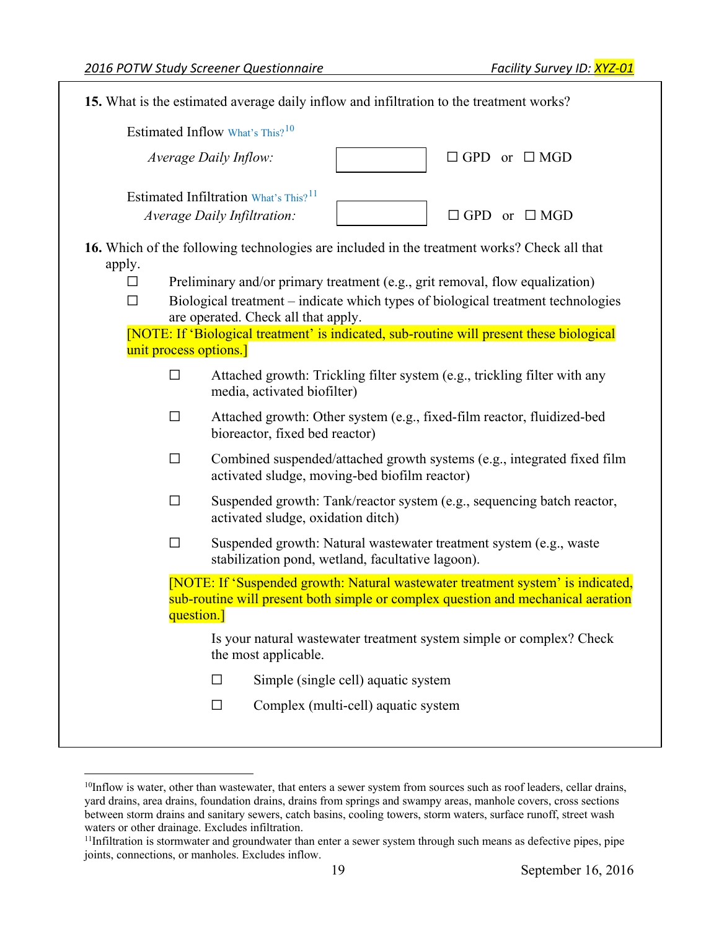$\overline{a}$ 

| 15. What is the estimated average daily inflow and infiltration to the treatment works?                                                                                                                                                                                                                                         |  |  |  |
|---------------------------------------------------------------------------------------------------------------------------------------------------------------------------------------------------------------------------------------------------------------------------------------------------------------------------------|--|--|--|
| Estimated Inflow What's This? <sup>10</sup>                                                                                                                                                                                                                                                                                     |  |  |  |
| $\Box$ GPD or $\Box$ MGD<br>Average Daily Inflow:                                                                                                                                                                                                                                                                               |  |  |  |
| Estimated Infiltration What's This? <sup>11</sup>                                                                                                                                                                                                                                                                               |  |  |  |
| Average Daily Infiltration:<br>$\Box$ GPD or $\Box$ MGD                                                                                                                                                                                                                                                                         |  |  |  |
| 16. Which of the following technologies are included in the treatment works? Check all that<br>apply.<br>Preliminary and/or primary treatment (e.g., grit removal, flow equalization)<br>⊔<br>Biological treatment - indicate which types of biological treatment technologies<br>$\Box$<br>are operated. Check all that apply. |  |  |  |
| [NOTE: If 'Biological treatment' is indicated, sub-routine will present these biological<br>unit process options.]                                                                                                                                                                                                              |  |  |  |
| Attached growth: Trickling filter system (e.g., trickling filter with any<br>$\Box$<br>media, activated biofilter)                                                                                                                                                                                                              |  |  |  |
| Attached growth: Other system (e.g., fixed-film reactor, fluidized-bed<br>$\Box$<br>bioreactor, fixed bed reactor)                                                                                                                                                                                                              |  |  |  |
| Combined suspended/attached growth systems (e.g., integrated fixed film<br>$\Box$<br>activated sludge, moving-bed biofilm reactor)                                                                                                                                                                                              |  |  |  |
| Suspended growth: Tank/reactor system (e.g., sequencing batch reactor,<br>$\Box$<br>activated sludge, oxidation ditch)                                                                                                                                                                                                          |  |  |  |
| Suspended growth: Natural wastewater treatment system (e.g., waste<br>$\Box$<br>stabilization pond, wetland, facultative lagoon).                                                                                                                                                                                               |  |  |  |
| [NOTE: If 'Suspended growth: Natural wastewater treatment system' is indicated,<br>sub-routine will present both simple or complex question and mechanical aeration<br>question.]                                                                                                                                               |  |  |  |
| Is your natural wastewater treatment system simple or complex? Check<br>the most applicable.                                                                                                                                                                                                                                    |  |  |  |
| Simple (single cell) aquatic system<br>□                                                                                                                                                                                                                                                                                        |  |  |  |
| Complex (multi-cell) aquatic system<br>П                                                                                                                                                                                                                                                                                        |  |  |  |
|                                                                                                                                                                                                                                                                                                                                 |  |  |  |

<span id="page-18-0"></span> yard drains, area drains, foundation drains, drains from springs and swampy areas, manhole covers, cross sections between storm drains and sanitary sewers, catch basins, cooling towers, storm waters, surface runoff, street wash waters or other drainage. Excludes infiltration. <sup>10</sup>Inflow is water, other than wastewater, that enters a sewer system from sources such as roof leaders, cellar drains,

<span id="page-18-1"></span><sup>&</sup>lt;sup>11</sup>Infiltration is stormwater and groundwater than enter a sewer system through such means as defective pipes, pipe joints, connections, or manholes. Excludes inflow.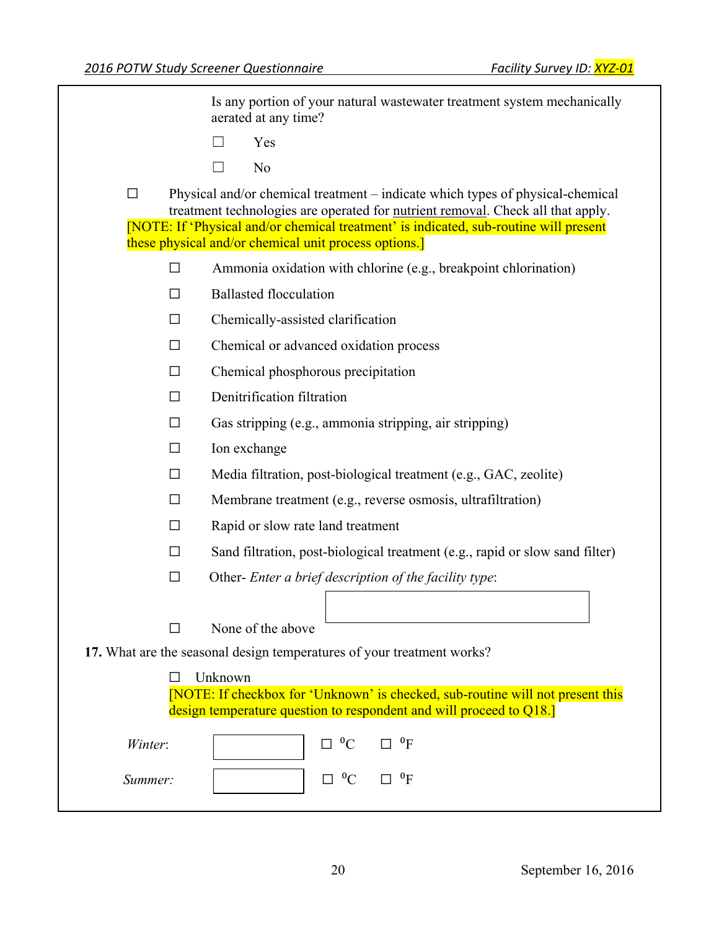Is any portion of your natural wastewater treatment system mechanically aerated at any time?

- $\Box$ Yes
- $\Box$  $No$

 ☐ Physical and/or chemical treatment – indicate which types of physical-chemical treatment technologies are operated for **nutrient removal**. Check all that apply. [NOTE: If 'Physical and/or chemical treatment' is indicated, sub-routine will present these physical and/or chemical unit process options.]

- $\Box$ Ammonia oxidation with chlorine (e.g., breakpoint chlorination)
- $\Box$  Ballasted flocculation
- ☐ Chemically-assisted clarification
- ☐ Chemical or advanced oxidation process
- $\Box$  Chemical phosphorous precipitation
- ☐ Denitrification filtration
- $\Box$  Gas stripping (e.g., ammonia stripping, air stripping)
- ☐ Ion exchange
- $\Box$  Media filtration, post-biological treatment (e.g., GAC, zeolite)
- ☐ Membrane treatment (e.g., reverse osmosis, ultrafiltration)
- $\Box$  Rapid or slow rate land treatment
- $\Box$  Sand filtration, post-biological treatment (e.g., rapid or slow sand filter)
- ☐ Other- *Enter a brief description of the facility type*:
- ☐ None of the above

**17.** What are the seasonal design temperatures of your treatment works?

 [NOTE: If checkbox for 'Unknown' is checked, sub-routine will not present this design temperature question to respondent and will proceed to Q18.]

| Winter: | $\Box$ <sup>0</sup> C                       | 0 <sub>E</sub><br>$\Box$ |
|---------|---------------------------------------------|--------------------------|
| Summer: | $\Box$ <sup>0</sup> C $\Box$ <sup>0</sup> F |                          |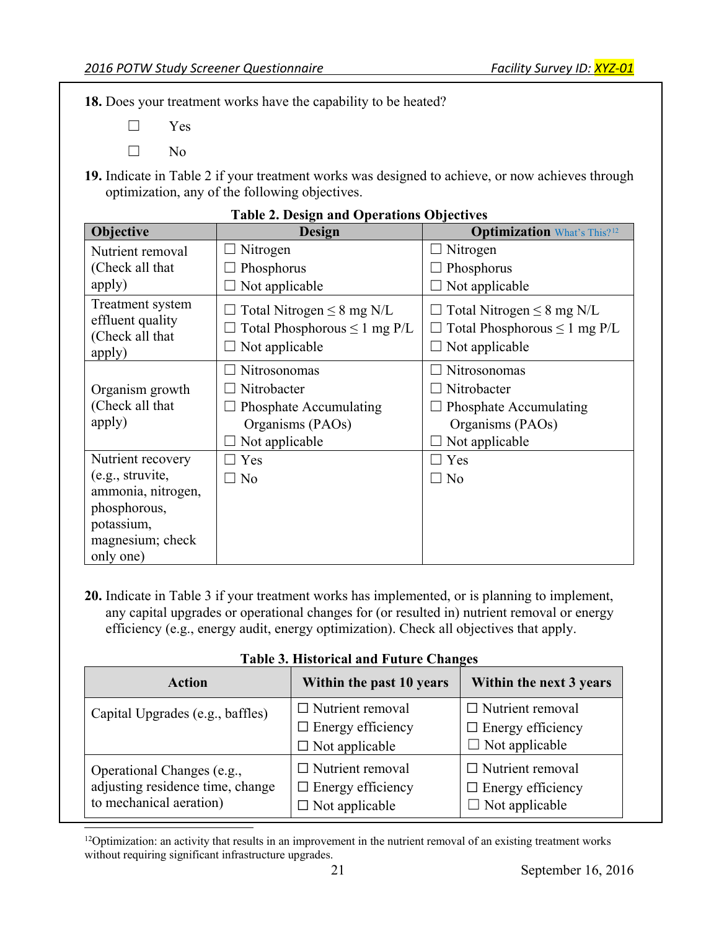**18.** Does your treatment works have the capability to be heated?

 $\Box$ Yes

 $\Box$ N<sub>o</sub>

 **19.** Indicate in Table 2 if your treatment works was designed to achieve, or now achieves through optimization, any of the following objectives.

| Objective                                                                                             | <b>Design</b>                                                                               | <b>Optimization</b> What's This? <sup>12</sup>                                                     |
|-------------------------------------------------------------------------------------------------------|---------------------------------------------------------------------------------------------|----------------------------------------------------------------------------------------------------|
| Nutrient removal                                                                                      | Nitrogen                                                                                    | Nitrogen                                                                                           |
| (Check all that                                                                                       | Phosphorus                                                                                  | Phosphorus                                                                                         |
| apply)                                                                                                | Not applicable                                                                              | Not applicable                                                                                     |
| Treatment system<br>effluent quality<br>(Check all that<br>apply)                                     | Total Nitrogen $\leq 8$ mg N/L<br>Total Phosphorous $\leq 1$ mg P/L<br>Not applicable       | Total Nitrogen $\leq 8$ mg N/L<br>Total Phosphorous $\leq 1$ mg P/L<br>Not applicable              |
| Organism growth<br>(Check all that<br>apply)                                                          | Nitrosonomas<br>Nitrobacter<br>Phosphate Accumulating<br>Organisms (PAOs)<br>Not applicable | <b>Nitrosonomas</b><br>Nitrobacter<br>Phosphate Accumulating<br>Organisms (PAOs)<br>Not applicable |
| Nutrient recovery                                                                                     | Yes                                                                                         | Yes                                                                                                |
| (e.g., struvite,<br>ammonia, nitrogen,<br>phosphorous,<br>potassium,<br>magnesium; check<br>only one) | N <sub>o</sub>                                                                              | N <sub>o</sub><br>$\vert \ \ \vert$                                                                |

#### **Table 2. Design and Operations Objectives**

 any capital upgrades or operational changes for (or resulted in) nutrient removal or energy efficiency (e.g., energy audit, energy optimization). Check all objectives that apply. **20.** Indicate in Table 3 if your treatment works has implemented, or is planning to implement,

### **Table 3. Historical and Future Changes**

| Action                           | Within the past 10 years | Within the next 3 years  |  |
|----------------------------------|--------------------------|--------------------------|--|
| Capital Upgrades (e.g., baffles) | $\Box$ Nutrient removal  | $\Box$ Nutrient removal  |  |
|                                  | $\Box$ Energy efficiency | $\Box$ Energy efficiency |  |
|                                  | $\Box$ Not applicable    | $\Box$ Not applicable    |  |
| Operational Changes (e.g.,       | $\Box$ Nutrient removal  | $\Box$ Nutrient removal  |  |
| adjusting residence time, change | $\Box$ Energy efficiency | $\Box$ Energy efficiency |  |
| to mechanical aeration)          | $\Box$ Not applicable    | $\Box$ Not applicable    |  |

<span id="page-20-0"></span> without requiring significant infrastructure upgrades. <sup>12</sup>Optimization: an activity that results in an improvement in the nutrient removal of an existing treatment works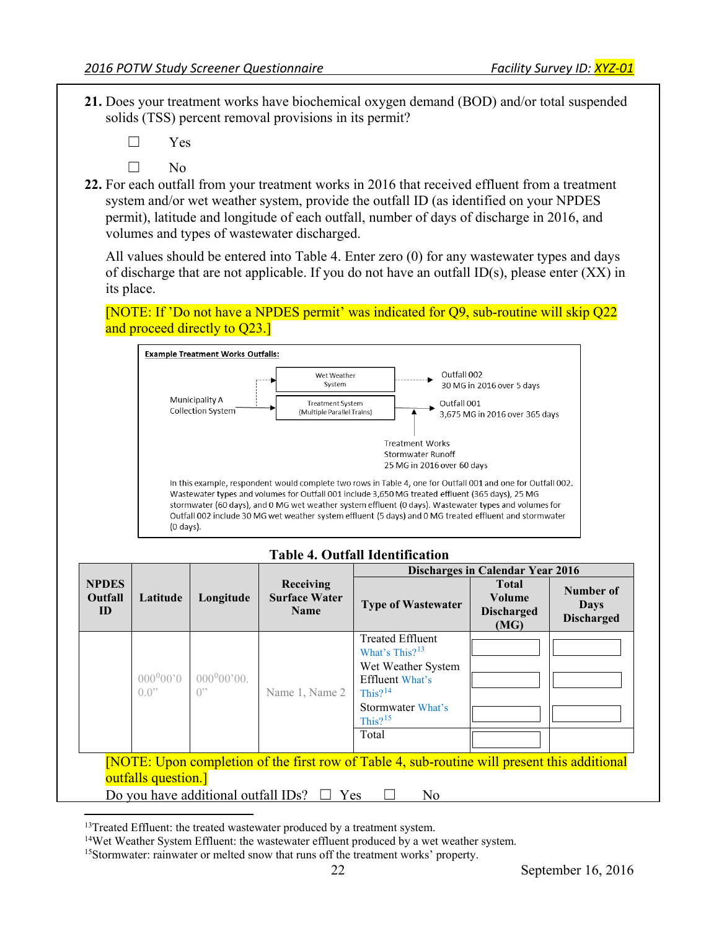- **21.** Does your treatment works have biochemical oxygen demand (BOD) and/or total suspended solids (TSS) percent removal provisions in its permit?
	- $\Box$ Yes
	- $\Box$  $No$
- system and/or wet weather system, provide the outfall ID (as identified on your NPDES **22.** For each outfall from your treatment works in 2016 that received effluent from a treatment permit), latitude and longitude of each outfall, number of days of discharge in 2016, and volumes and types of wastewater discharged.

All values should be entered into Table 4. Enter zero (0) for any wastewater types and days of discharge that are not applicable. If you do not have an outfall ID(s), please enter (XX) in its place.

[NOTE: If 'Do not have a NPDES permit' was indicated for Q9, sub-routine will skip Q22 and proceed directly to Q23.



|                                                                                                                                                                                                     |                                       |                            |                                                         | <b>Discharges in Calendar Year 2016</b>                                                                                                                |                                                     |                                               |
|-----------------------------------------------------------------------------------------------------------------------------------------------------------------------------------------------------|---------------------------------------|----------------------------|---------------------------------------------------------|--------------------------------------------------------------------------------------------------------------------------------------------------------|-----------------------------------------------------|-----------------------------------------------|
| <b>NPDES</b><br>Outfall<br>ID                                                                                                                                                                       | Latitude                              | Longitude                  | <b>Receiving</b><br><b>Surface Water</b><br><b>Name</b> | <b>Type of Wastewater</b>                                                                                                                              | <b>Total</b><br>Volume<br><b>Discharged</b><br>(MG) | Number of<br><b>Days</b><br><b>Discharged</b> |
|                                                                                                                                                                                                     | $000^000$ '0<br>$(1.0)$ <sup>22</sup> | $000^000'00.$<br>$()^{22}$ | Name 1, Name 2                                          | <b>Treated Effluent</b><br>What's This? $13$<br>Wet Weather System<br><b>Effluent What's</b><br>This? $14$<br>Stormwater What's<br>This? $15$<br>Total |                                                     |                                               |
| [NOTE: Upon completion of the first row of Table 4, sub-routine will present this additional<br>outfalls question.]<br>Do you have additional outfall IDs?<br>Yes<br>N <sub>o</sub><br>$\mathbf{L}$ |                                       |                            |                                                         |                                                                                                                                                        |                                                     |                                               |

# **Table 4. Outfall Identification**

<u>.</u>

<span id="page-21-0"></span><sup>&</sup>lt;sup>13</sup>Treated Effluent: the treated wastewater produced by a treatment system.

<span id="page-21-1"></span><sup>&</sup>lt;sup>14</sup>Wet Weather System Effluent: the wastewater effluent produced by a wet weather system.

<span id="page-21-2"></span><sup>&</sup>lt;sup>15</sup>Stormwater: rainwater or melted snow that runs off the treatment works' property.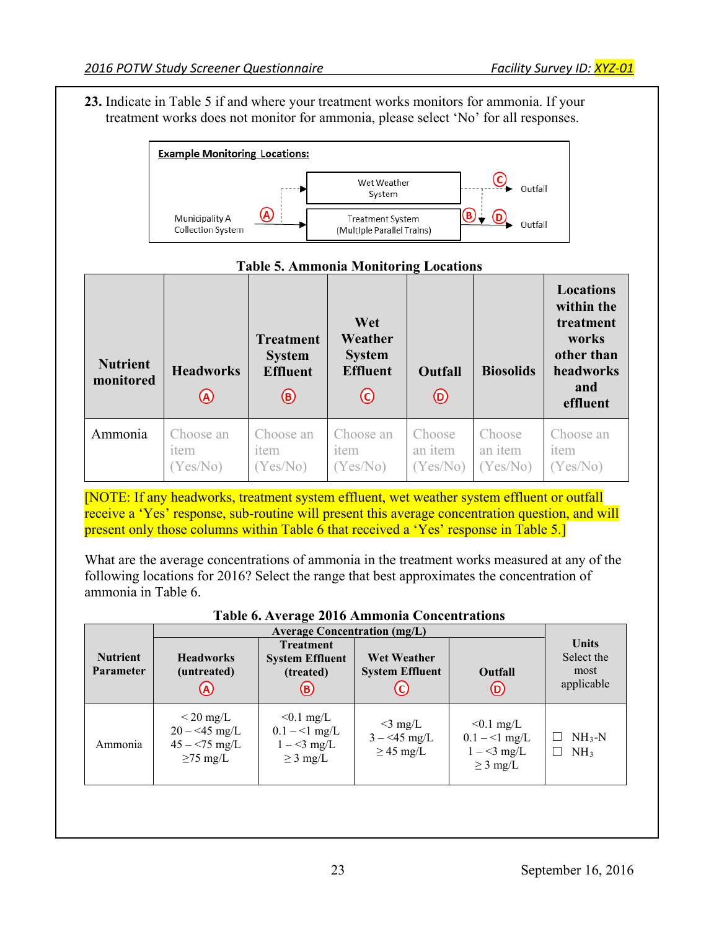**23.** Indicate in Table 5 if and where your treatment works monitors for ammonia. If your treatment works does not monitor for ammonia, please select 'No' for all responses.





 present only those columns within Table 6 that received a 'Yes' response in Table 5.] [NOTE: If any headworks, treatment system effluent, wet weather system effluent or outfall receive a 'Yes' response, sub-routine will present this average concentration question, and will

 What are the average concentrations of ammonia in the treatment works measured at any of the following locations for 2016? Select the range that best approximates the concentration of ammonia in Table 6.

| Table 6. Average 2010 Allillionia Concentrations |                                                                         |                                                                 |                                               |                                                                 |                                                        |
|--------------------------------------------------|-------------------------------------------------------------------------|-----------------------------------------------------------------|-----------------------------------------------|-----------------------------------------------------------------|--------------------------------------------------------|
|                                                  | <b>Average Concentration (mg/L)</b>                                     |                                                                 |                                               |                                                                 |                                                        |
| <b>Nutrient</b><br><b>Parameter</b>              | <b>Headworks</b><br>(untreated)                                         | <b>Treatment</b><br><b>System Effluent</b><br>(treated)<br>(B   | <b>Wet Weather</b><br><b>System Effluent</b>  | Outfall<br>(D)                                                  | <b>Units</b><br>Select the<br>most<br>applicable       |
| Ammonia                                          | $\rm < 20 \ mg/L$<br>$20 - 45$ mg/L<br>$45 - 75$ mg/L<br>$\geq$ 75 mg/L | $< 0.1$ mg/L<br>$0.1 - 1$ mg/L<br>$1 - 3$ mg/L<br>$\geq$ 3 mg/L | $<$ 3 mg/L<br>$3 - 45$ mg/L<br>$\geq$ 45 mg/L | $< 0.1$ mg/L<br>$0.1 - 1$ mg/L<br>$1 - 3$ mg/L<br>$\geq$ 3 mg/L | $NH3-N$<br>NH <sub>3</sub><br>$\overline{\phantom{a}}$ |
|                                                  |                                                                         |                                                                 |                                               |                                                                 |                                                        |

|  | Table 6. Average 2016 Ammonia Concentrations |  |
|--|----------------------------------------------|--|
|--|----------------------------------------------|--|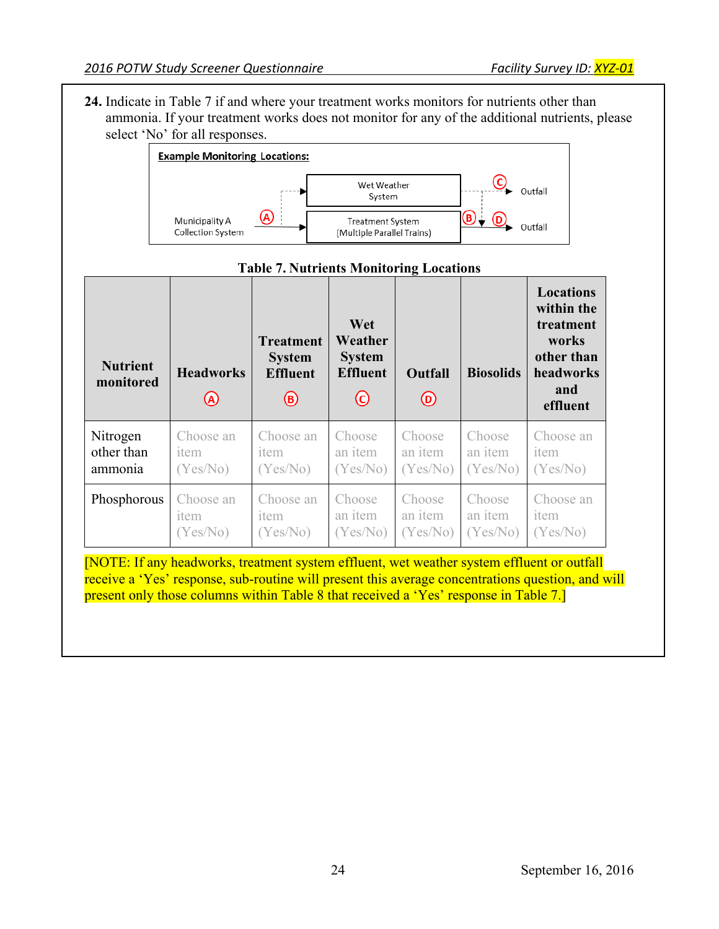**24.** Indicate in Table 7 if and where your treatment works monitors for nutrients other than ammonia. If your treatment works does not monitor for any of the additional nutrients, please select 'No' for all responses.



#### **Locations within the**  Wet  $\vert$  **treatment Treatment Weather works System System other than Nutrient monitored Headworks Effluent Effluent Outfall Biosolids headworks and**   $\circledR$  $\odot$  $\circledcirc$ **effluent**  Nitrogen Choose an Choose an Choose Choose Choose Choose an other than item an item an item an item item item ammonia (Yes/No) (Yes/No) (Yes/No) (Yes/No) (Yes/No) (Yes/No) Choose an Phosphorous | Choose an Choose Choose **Choose** Choose an item item an item an item an item item (Yes/No) (Yes/No) (Yes/No) (Yes/No) (Yes/No) (Yes/No)

# **Table 7. Nutrients Monitoring Locations**

 [NOTE: If any headworks, treatment system effluent, wet weather system effluent or outfall present only those columns within Table 8 that received a 'Yes' response in Table 7.] receive a 'Yes' response, sub-routine will present this average concentrations question, and will